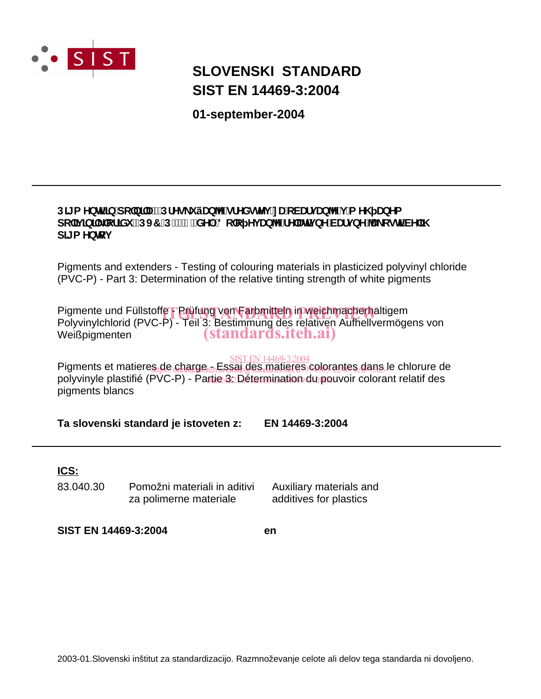

## **SIST EN 14469-3:2004 SLOVENSKI STANDARD**

**01-september-2004**

### D][ a Ybh]`]b`dc`b]`U!`DfYg\_i ýUb^Y`gfYXghYj `nU<sup>'</sup>cVUfj Ub^Y'j `a Y\ UbYa dc`]j ]b]`cf]Xi 'fDJ7!DŁ!'' "XY.'8c`c Yj Ub^YfYUHj bYVUfj bY'U\_cgH'VY]\ d**J** a Yblc<sub>j</sub>

Pigments and extenders - Testing of colouring materials in plasticized polyvinyl chloride (PVC-P) - Part 3: Determination of the relative tinting strength of white pigments

Pigmente und Füllstoffe **- Prüfung von Farbmitteln in weichmacherhaltigem**<br>Polyginylchlorid (PVC-P) - Teil 3: Bestimmung des relativen Aufhellyermöge Polyvinylchlorid (PVC-P) - Teil 3: Bestimmung des relativen Aufhellvermögens von Weißpigmenten (standards.iteh.ai)

Pigments et matieres de charge - Essai des matieres colorantes dans le chlorure de polyvinyle plastifié (PVC-P) - Partie 8: Détermination du pouvoir colorant relatif des pigments blancs SIST EN 14469-3:2004 Stge/charge.teh.assal.ges.matieres/colorantes-dans\_i

**Ta slovenski standard je istoveten z: EN 14469-3:2004**

### **ICS:**

83.040.30 Pomožni materiali in aditivi za polimerne materiale

Auxiliary materials and additives for plastics

**SIST EN 14469-3:2004 en**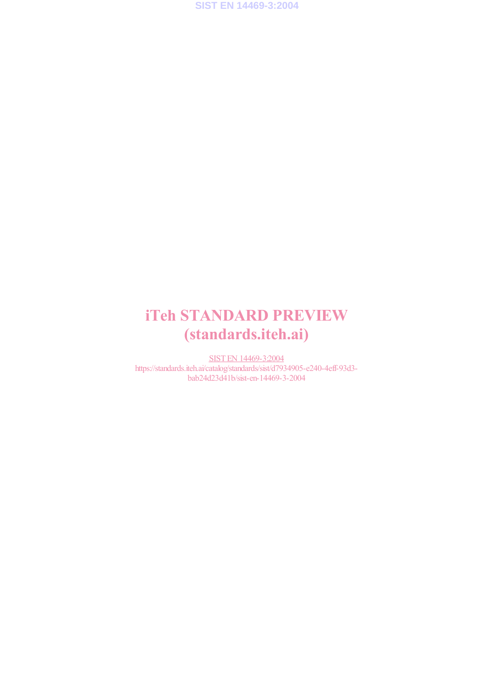# iTeh STANDARD PREVIEW (standards.iteh.ai)

SIST EN 14469-3:2004 https://standards.iteh.ai/catalog/standards/sist/d7934905-e240-4eff-93d3 bab24d23d41b/sist-en-14469-3-2004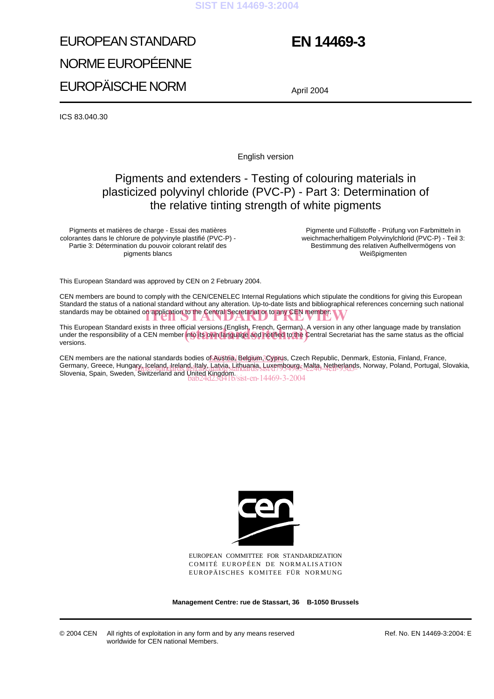#### **SIST EN 14469-3:2004**

# EUROPEAN STANDARD NORME EUROPÉENNE EUROPÄISCHE NORM

## **EN 14469-3**

April 2004

ICS 83.040.30

English version

## Pigments and extenders - Testing of colouring materials in plasticized polyvinyl chloride (PVC-P) - Part 3: Determination of the relative tinting strength of white pigments

Pigments et matières de charge - Essai des matières colorantes dans le chlorure de polyvinyle plastifié (PVC-P) - Partie 3: Détermination du pouvoir colorant relatif des pigments blancs

Pigmente und Füllstoffe - Prüfung von Farbmitteln in weichmacherhaltigem Polyvinylchlorid (PVC-P) - Teil 3: Bestimmung des relativen Aufhellvermögens von Weißpigmenten

This European Standard was approved by CEN on 2 February 2004.

CEN members are bound to comply with the CEN/CENELEC Internal Regulations which stipulate the conditions for giving this European Standard the status of a national standard without any alteration. Up-to-date lists and bibliographical references concerning such national standards may be obtained on application to the Central Secretariat or to any CEN member.

This European Standard exists in three official versions (English, French, German). A version in any other language made by translation This European Standard exists in three official versions (English, French, German). A version in any other language made by translation<br>under the responsibility of a CEN member into its own language and hotified to the Cen versions.

CEN members are the national standards bodies o<u>f Austria, Belgium, Cypru</u>s, Czech Republic, Denmark, Estonia, Finland, France, Germany, Greece, Hungary, Iceland, Ireland, Italy, Latvia, Lithuania, Luxembourg, Malta, Netherlands, Norway, Poland, Portugal, Slovakia, Germany, Greece, Hungary, Iceland, Ireland, Italy, Latyja, Lithuania, Luxembourg, Malta, Netherlands<br>Slovenia, Spain, Sweden, Switzerland and United Kingdom. bab24d23d41b/sist-en-14469-3-2004



EUROPEAN COMMITTEE FOR STANDARDIZATION COMITÉ EUROPÉEN DE NORMALISATION EUROPÄISCHES KOMITEE FÜR NORMUNG

**Management Centre: rue de Stassart, 36 B-1050 Brussels**

© 2004 CEN All rights of exploitation in any form and by any means reserved worldwide for CEN national Members.

Ref. No. EN 14469-3:2004: E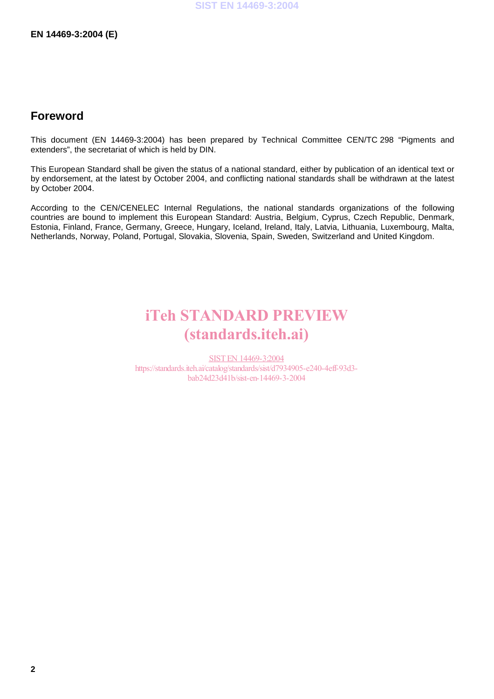### **Foreword**

This document (EN 14469-3:2004) has been prepared by Technical Committee CEN/TC 298 "Pigments and extenders", the secretariat of which is held by DIN.

This European Standard shall be given the status of a national standard, either by publication of an identical text or by endorsement, at the latest by October 2004, and conflicting national standards shall be withdrawn at the latest by October 2004.

According to the CEN/CENELEC Internal Regulations, the national standards organizations of the following countries are bound to implement this European Standard: Austria, Belgium, Cyprus, Czech Republic, Denmark, Estonia, Finland, France, Germany, Greece, Hungary, Iceland, Ireland, Italy, Latvia, Lithuania, Luxembourg, Malta, Netherlands, Norway, Poland, Portugal, Slovakia, Slovenia, Spain, Sweden, Switzerland and United Kingdom.

## iTeh STANDARD PREVIEW (standards.iteh.ai)

SIST EN 14469-3:2004 https://standards.iteh.ai/catalog/standards/sist/d7934905-e240-4eff-93d3 bab24d23d41b/sist-en-14469-3-2004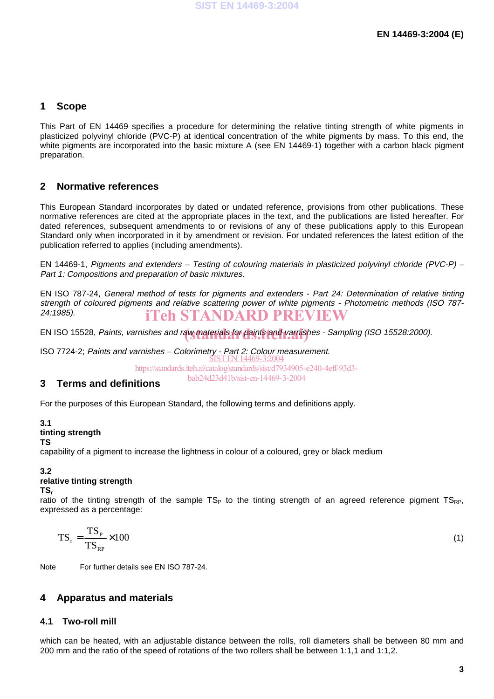#### **1 Scope**

This Part of EN 14469 specifies a procedure for determining the relative tinting strength of white pigments in plasticized polyvinyl chloride (PVC-P) at identical concentration of the white pigments by mass. To this end, the white pigments are incorporated into the basic mixture A (see EN 14469-1) together with a carbon black pigment preparation.

#### **2 Normative references**

This European Standard incorporates by dated or undated reference, provisions from other publications. These normative references are cited at the appropriate places in the text, and the publications are listed hereafter. For dated references, subsequent amendments to or revisions of any of these publications apply to this European Standard only when incorporated in it by amendment or revision. For undated references the latest edition of the publication referred to applies (including amendments).

EN 14469-1, Pigments and extenders – Testing of colouring materials in plasticized polyvinyl chloride (PVC-P) – Part 1: Compositions and preparation of basic mixtures.

EN ISO 787-24, General method of tests for pigments and extenders - Part 24: Determination of relative tinting strength of coloured pigments and relative scattering power of white pigments - Photometric methods (ISO 787- 24:1985). iTeh STANDARD PREVIEW

EN ISO 15528, Paints, varnishes and raw materials for paints and varnishes - Sampling (ISO 15528:2000).

ISO 7724-2; Paints and varnishes – Colorimetry - Part 2: Colour measurement. SIST EN 14469-3:2004

https://standards.iteh.ai/catalog/standards/sist/d7934905-e240-4eff-93d3-

#### bab24d23d41b/sist-en-14469-3-2004

#### **3 Terms and definitions**

For the purposes of this European Standard, the following terms and definitions apply.

#### **3.1 tinting strength**

#### **TS**

capability of a pigment to increase the lightness in colour of a coloured, grey or black medium

#### **3.2**

### **relative tinting strength**

**TSr**

ratio of the tinting strength of the sample  $TS<sub>P</sub>$  to the tinting strength of an agreed reference pigment  $TS<sub>RP</sub>$ , expressed as a percentage:

$$
TS_r = \frac{TS_p}{TS_{RP}} \times 100\tag{1}
$$

Note For further details see EN ISO 787-24.

#### **4 Apparatus and materials**

#### **4.1 Two-roll mill**

which can be heated, with an adjustable distance between the rolls, roll diameters shall be between 80 mm and 200 mm and the ratio of the speed of rotations of the two rollers shall be between 1:1,1 and 1:1,2.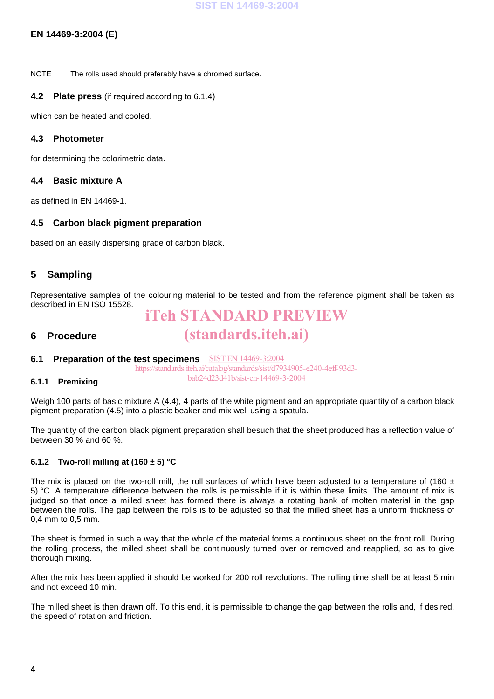#### **EN 14469-3:2004 (E)**

NOTE The rolls used should preferably have a chromed surface.

**4.2 Plate press** (if required according to 6.1.4)

which can be heated and cooled.

#### **4.3 Photometer**

for determining the colorimetric data.

#### **4.4 Basic mixture A**

as defined in EN 14469-1.

#### **4.5 Carbon black pigment preparation**

based on an easily dispersing grade of carbon black.

#### **5 Sampling**

Representative samples of the colouring material to be tested and from the reference pigment shall be taken as described in EN ISO 15528.

## iTeh STANDARD PREVIEW (standards.iteh.ai)

#### **6 Procedure**

**6.1 Preparation of the test specimens** SIST EN 14469-3:2004

https://standards.iteh.ai/catalog/standards/sist/d7934905-e240-4eff-93d3 bab24d23d41b/sist-en-14469-3-2004

#### **6.1.1 Premixing**

Weigh 100 parts of basic mixture A (4.4), 4 parts of the white pigment and an appropriate quantity of a carbon black pigment preparation (4.5) into a plastic beaker and mix well using a spatula.

The quantity of the carbon black pigment preparation shall besuch that the sheet produced has a reflection value of between 30 % and 60 %.

#### **6.1.2 Two-roll milling at (160 ± 5) °C**

The mix is placed on the two-roll mill, the roll surfaces of which have been adjusted to a temperature of (160  $\pm$ 5) °C. A temperature difference between the rolls is permissible if it is within these limits. The amount of mix is judged so that once a milled sheet has formed there is always a rotating bank of molten material in the gap between the rolls. The gap between the rolls is to be adjusted so that the milled sheet has a uniform thickness of 0,4 mm to 0,5 mm.

The sheet is formed in such a way that the whole of the material forms a continuous sheet on the front roll. During the rolling process, the milled sheet shall be continuously turned over or removed and reapplied, so as to give thorough mixing.

After the mix has been applied it should be worked for 200 roll revolutions. The rolling time shall be at least 5 min and not exceed 10 min.

The milled sheet is then drawn off. To this end, it is permissible to change the gap between the rolls and, if desired, the speed of rotation and friction.